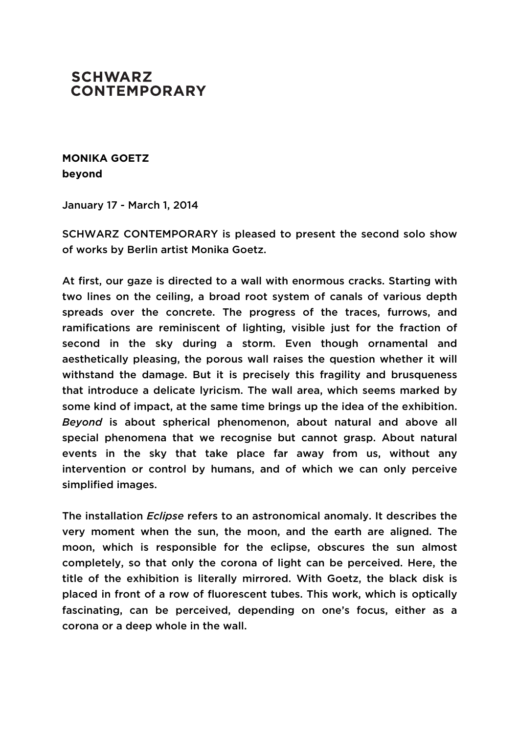## **SCHWARZ CONTEMPORARY**

**MONIKA GOETZ beyond**

January 17 - March 1, 2014

SCHWARZ CONTEMPORARY is pleased to present the second solo show of works by Berlin artist Monika Goetz.

At first, our gaze is directed to a wall with enormous cracks. Starting with two lines on the ceiling, a broad root system of canals of various depth spreads over the concrete. The progress of the traces, furrows, and ramifications are reminiscent of lighting, visible just for the fraction of second in the sky during a storm. Even though ornamental and aesthetically pleasing, the porous wall raises the question whether it will withstand the damage. But it is precisely this fragility and brusqueness that introduce a delicate lyricism. The wall area, which seems marked by some kind of impact, at the same time brings up the idea of the exhibition. *Beyond* is about spherical phenomenon, about natural and above all special phenomena that we recognise but cannot grasp. About natural events in the sky that take place far away from us, without any intervention or control by humans, and of which we can only perceive simplified images.

The installation *Eclipse* refers to an astronomical anomaly. It describes the very moment when the sun, the moon, and the earth are aligned. The moon, which is responsible for the eclipse, obscures the sun almost completely, so that only the corona of light can be perceived. Here, the title of the exhibition is literally mirrored. With Goetz, the black disk is placed in front of a row of fluorescent tubes. This work, which is optically fascinating, can be perceived, depending on one's focus, either as a corona or a deep whole in the wall.